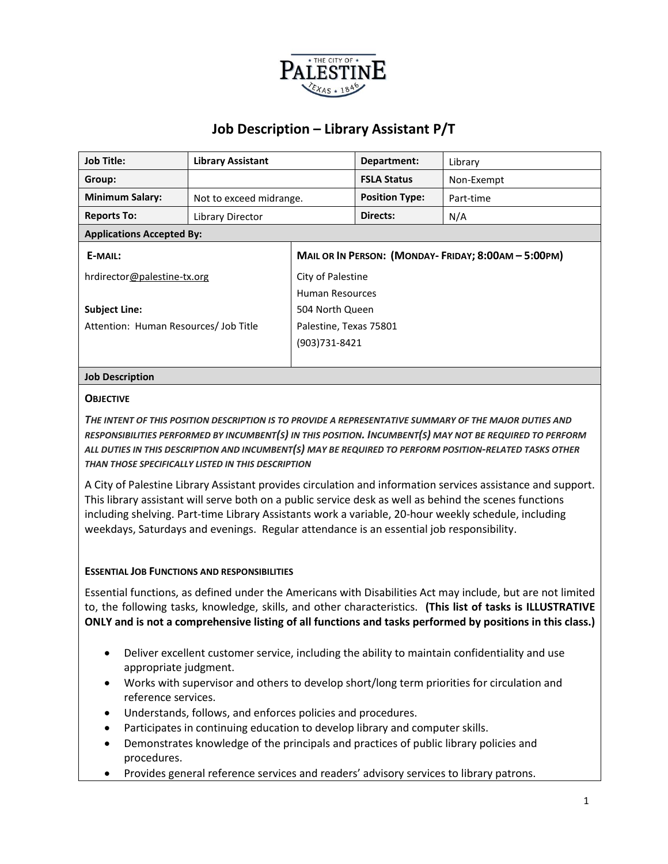

| <b>Job Title:</b>                     | <b>Library Assistant</b> |                                                     | Department:           | Library    |  |  |
|---------------------------------------|--------------------------|-----------------------------------------------------|-----------------------|------------|--|--|
| Group:                                |                          |                                                     | <b>FSLA Status</b>    | Non-Exempt |  |  |
| <b>Minimum Salary:</b>                | Not to exceed midrange.  |                                                     | <b>Position Type:</b> | Part-time  |  |  |
| <b>Reports To:</b>                    | Library Director         |                                                     | Directs:              | N/A        |  |  |
| <b>Applications Accepted By:</b>      |                          |                                                     |                       |            |  |  |
| E-MAIL:                               |                          | MAIL OR IN PERSON: (MONDAY-FRIDAY; 8:00AM - 5:00PM) |                       |            |  |  |
| hrdirector@palestine-tx.org           |                          | City of Palestine                                   |                       |            |  |  |
|                                       |                          | Human Resources                                     |                       |            |  |  |
| <b>Subject Line:</b>                  |                          | 504 North Queen                                     |                       |            |  |  |
| Attention: Human Resources/ Job Title |                          | Palestine, Texas 75801                              |                       |            |  |  |
|                                       |                          | (903)731-8421                                       |                       |            |  |  |
|                                       |                          |                                                     |                       |            |  |  |

### **Job Description**

#### **OBJECTIVE**

*THE INTENT OF THIS POSITION DESCRIPTION IS TO PROVIDE A REPRESENTATIVE SUMMARY OF THE MAJOR DUTIES AND RESPONSIBILITIES PERFORMED BY INCUMBENT(S) IN THIS POSITION. INCUMBENT(S) MAY NOT BE REQUIRED TO PERFORM ALL DUTIES IN THIS DESCRIPTION AND INCUMBENT(S) MAY BE REQUIRED TO PERFORM POSITION-RELATED TASKS OTHER THAN THOSE SPECIFICALLY LISTED IN THIS DESCRIPTION*

A City of Palestine Library Assistant provides circulation and information services assistance and support. This library assistant will serve both on a public service desk as well as behind the scenes functions including shelving. Part-time Library Assistants work a variable, 20-hour weekly schedule, including weekdays, Saturdays and evenings. Regular attendance is an essential job responsibility.

#### **ESSENTIAL JOB FUNCTIONS AND RESPONSIBILITIES**

Essential functions, as defined under the Americans with Disabilities Act may include, but are not limited to, the following tasks, knowledge, skills, and other characteristics. **(This list of tasks is ILLUSTRATIVE ONLY and is not a comprehensive listing of all functions and tasks performed by positions in this class.)**

- Deliver excellent customer service, including the ability to maintain confidentiality and use appropriate judgment.
- Works with supervisor and others to develop short/long term priorities for circulation and reference services.
- Understands, follows, and enforces policies and procedures.
- Participates in continuing education to develop library and computer skills.
- Demonstrates knowledge of the principals and practices of public library policies and procedures.
- Provides general reference services and readers' advisory services to library patrons.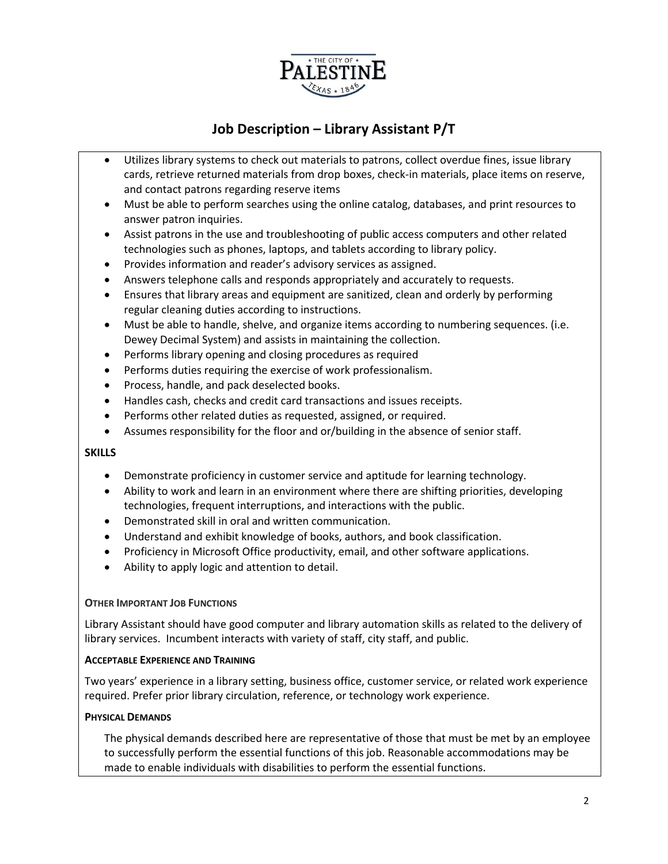

- Utilizes library systems to check out materials to patrons, collect overdue fines, issue library cards, retrieve returned materials from drop boxes, check-in materials, place items on reserve, and contact patrons regarding reserve items
- Must be able to perform searches using the online catalog, databases, and print resources to answer patron inquiries.
- Assist patrons in the use and troubleshooting of public access computers and other related technologies such as phones, laptops, and tablets according to library policy.
- Provides information and reader's advisory services as assigned.
- Answers telephone calls and responds appropriately and accurately to requests.
- Ensures that library areas and equipment are sanitized, clean and orderly by performing regular cleaning duties according to instructions.
- Must be able to handle, shelve, and organize items according to numbering sequences. (i.e. Dewey Decimal System) and assists in maintaining the collection.
- Performs library opening and closing procedures as required
- Performs duties requiring the exercise of work professionalism.
- Process, handle, and pack deselected books.
- Handles cash, checks and credit card transactions and issues receipts.
- Performs other related duties as requested, assigned, or required.
- Assumes responsibility for the floor and or/building in the absence of senior staff.

#### **SKILLS**

- Demonstrate proficiency in customer service and aptitude for learning technology.
- Ability to work and learn in an environment where there are shifting priorities, developing technologies, frequent interruptions, and interactions with the public.
- Demonstrated skill in oral and written communication.
- Understand and exhibit knowledge of books, authors, and book classification.
- Proficiency in Microsoft Office productivity, email, and other software applications.
- Ability to apply logic and attention to detail.

#### **OTHER IMPORTANT JOB FUNCTIONS**

Library Assistant should have good computer and library automation skills as related to the delivery of library services. Incumbent interacts with variety of staff, city staff, and public.

#### **ACCEPTABLE EXPERIENCE AND TRAINING**

Two years' experience in a library setting, business office, customer service, or related work experience required. Prefer prior library circulation, reference, or technology work experience.

#### **PHYSICAL DEMANDS**

The physical demands described here are representative of those that must be met by an employee to successfully perform the essential functions of this job. Reasonable accommodations may be made to enable individuals with disabilities to perform the essential functions.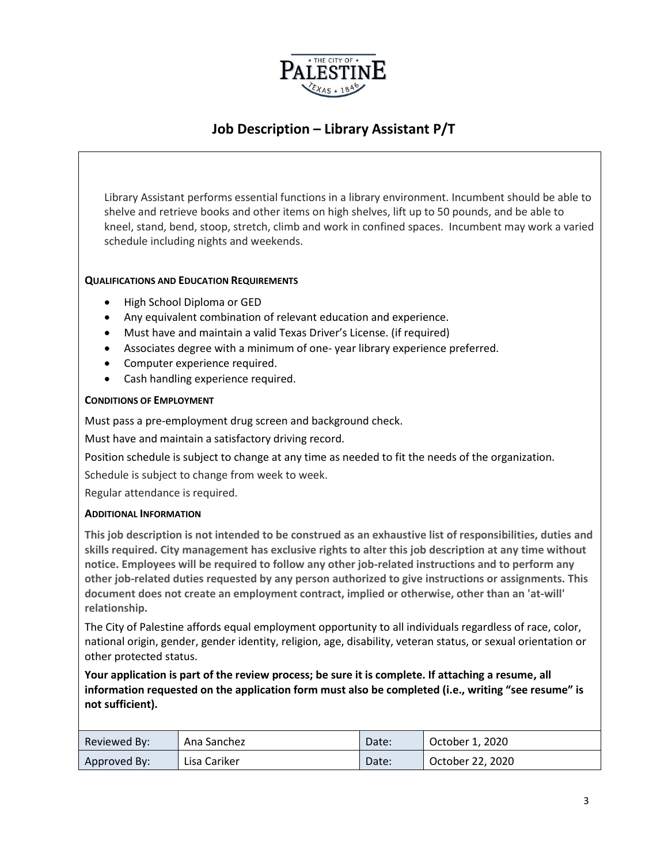

Library Assistant performs essential functions in a library environment. Incumbent should be able to shelve and retrieve books and other items on high shelves, lift up to 50 pounds, and be able to kneel, stand, bend, stoop, stretch, climb and work in confined spaces. Incumbent may work a varied schedule including nights and weekends.

#### **QUALIFICATIONS AND EDUCATION REQUIREMENTS**

- High School Diploma or GED
- Any equivalent combination of relevant education and experience.
- Must have and maintain a valid Texas Driver's License. (if required)
- Associates degree with a minimum of one- year library experience preferred.
- Computer experience required.
- Cash handling experience required.

#### **CONDITIONS OF EMPLOYMENT**

Must pass a pre-employment drug screen and background check.

Must have and maintain a satisfactory driving record.

Position schedule is subject to change at any time as needed to fit the needs of the organization.

Schedule is subject to change from week to week.

Regular attendance is required.

#### **ADDITIONAL INFORMATION**

**This job description is not intended to be construed as an exhaustive list of responsibilities, duties and skills required. City management has exclusive rights to alter this job description at any time without notice. Employees will be required to follow any other job-related instructions and to perform any other job-related duties requested by any person authorized to give instructions or assignments. This document does not create an employment contract, implied or otherwise, other than an 'at-will' relationship.**

The City of Palestine affords equal employment opportunity to all individuals regardless of race, color, national origin, gender, gender identity, religion, age, disability, veteran status, or sexual orientation or other protected status.

**Your application is part of the review process; be sure it is complete. If attaching a resume, all information requested on the application form must also be completed (i.e., writing "see resume" is not sufficient).**

| Reviewed By: | Ana Sanchez  | Date: | October 1, 2020  |
|--------------|--------------|-------|------------------|
| Approved By: | Lisa Cariker | Date: | October 22, 2020 |